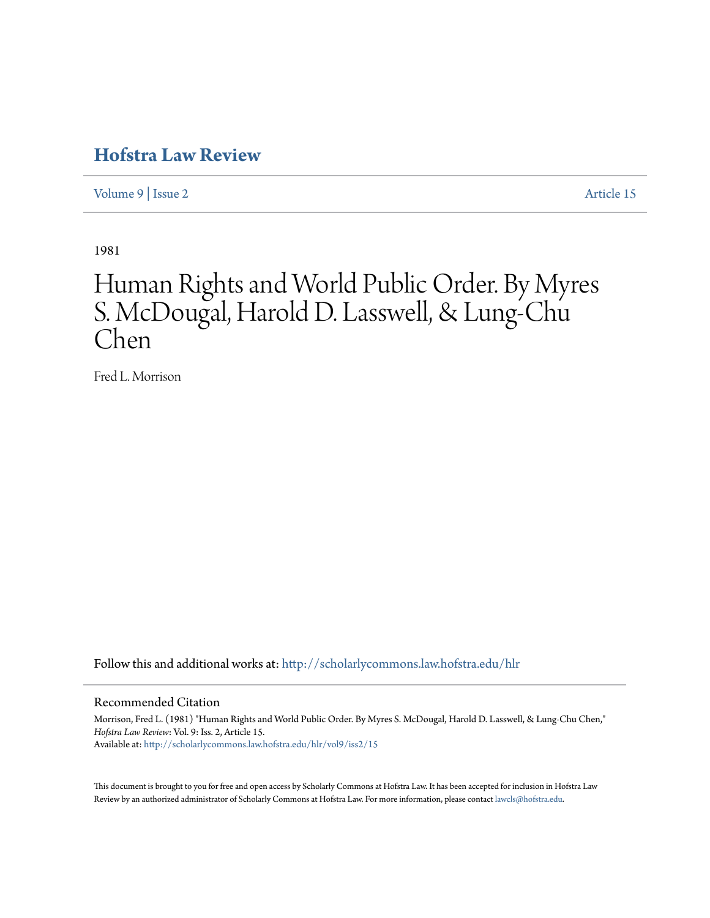# **[Hofstra Law Review](http://scholarlycommons.law.hofstra.edu/hlr?utm_source=scholarlycommons.law.hofstra.edu%2Fhlr%2Fvol9%2Fiss2%2F15&utm_medium=PDF&utm_campaign=PDFCoverPages)**

[Volume 9](http://scholarlycommons.law.hofstra.edu/hlr/vol9?utm_source=scholarlycommons.law.hofstra.edu%2Fhlr%2Fvol9%2Fiss2%2F15&utm_medium=PDF&utm_campaign=PDFCoverPages) | [Issue 2](http://scholarlycommons.law.hofstra.edu/hlr/vol9/iss2?utm_source=scholarlycommons.law.hofstra.edu%2Fhlr%2Fvol9%2Fiss2%2F15&utm_medium=PDF&utm_campaign=PDFCoverPages) [Article 15](http://scholarlycommons.law.hofstra.edu/hlr/vol9/iss2/15?utm_source=scholarlycommons.law.hofstra.edu%2Fhlr%2Fvol9%2Fiss2%2F15&utm_medium=PDF&utm_campaign=PDFCoverPages)

1981

# Human Rights and World Public Order. By Myres S. McDougal, Harold D. Lasswell, & Lung-Chu Chen

Fred L. Morrison

Follow this and additional works at: [http://scholarlycommons.law.hofstra.edu/hlr](http://scholarlycommons.law.hofstra.edu/hlr?utm_source=scholarlycommons.law.hofstra.edu%2Fhlr%2Fvol9%2Fiss2%2F15&utm_medium=PDF&utm_campaign=PDFCoverPages)

## Recommended Citation

Morrison, Fred L. (1981) "Human Rights and World Public Order. By Myres S. McDougal, Harold D. Lasswell, & Lung-Chu Chen," *Hofstra Law Review*: Vol. 9: Iss. 2, Article 15. Available at: [http://scholarlycommons.law.hofstra.edu/hlr/vol9/iss2/15](http://scholarlycommons.law.hofstra.edu/hlr/vol9/iss2/15?utm_source=scholarlycommons.law.hofstra.edu%2Fhlr%2Fvol9%2Fiss2%2F15&utm_medium=PDF&utm_campaign=PDFCoverPages)

This document is brought to you for free and open access by Scholarly Commons at Hofstra Law. It has been accepted for inclusion in Hofstra Law Review by an authorized administrator of Scholarly Commons at Hofstra Law. For more information, please contact [lawcls@hofstra.edu](mailto:lawcls@hofstra.edu).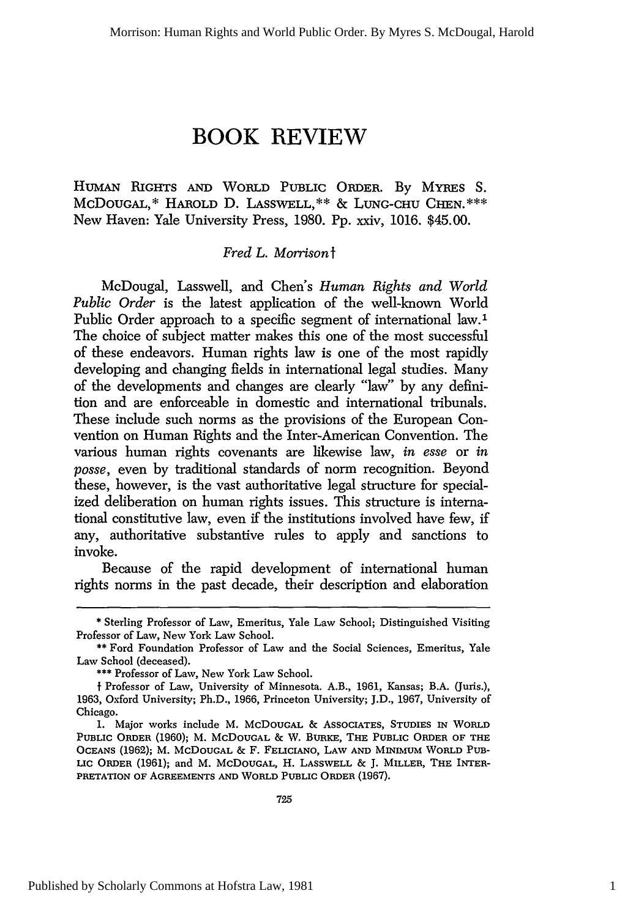# **BOOK REVIEW**

HUMAN RIGHTS **AND** WORLD PUBLIC ORDER. By MYRES S. McDOUGAL,\* HAROLD **D.** LASSWELL,\*\* **&** LUNG-CHU CHEN.\*\*\* New Haven: Yale University Press, 1980. Pp. xxiv, 1016. \$45.00.

## *Fred L. Morrisonf*

McDougal, Lasswell, and Chen's *Human Rights and World Public Order* is the latest application of the well-known World Public Order approach to a specific segment of international law.1 The choice of subject matter makes this one of the most successful of these endeavors. Human rights law is one of the most rapidly developing and changing fields in international legal studies. Many of the developments and changes are clearly "law" by any definition and are enforceable in domestic and international tribunals. These include such norms as the provisions of the European Convention on Human Rights and the Inter-American Convention. The various human rights covenants are likewise law, *in esse* or *in posse,* even by traditional standards of norm recognition. Beyond these, however, is the vast authoritative legal structure for specialized deliberation on human rights issues. This structure is international constitutive law, even if the institutions involved have few, if any, authoritative substantive rules to apply and sanctions to invoke.

Because of the rapid development of international human rights norms in the past decade, their description and elaboration

<sup>\*</sup> Sterling Professor of Law, Emeritus, Yale Law School; Distinguished Visiting Professor of Law, New York Law School.

<sup>\*\*</sup> Ford Foundation Professor of Law and the Social Sciences, Emeritus, Yale Law School (deceased).

**<sup>\*\*\*</sup>** Professor of Law, New York Law School.

**f** Professor of Law, University of Minnesota. A.B., 1961, Kansas; B.A. (Juris.), 1963, Oxford University; Ph.D., 1966, Princeton University; J.D., 1967, University of Chicago.

<sup>1.</sup> Major works include M. **McDOUGAL &** ASSOCIATES, **STUDIES** IN WORLD **PUBLIC ORDER** (1960); M. McDoUGAL **&** W. **BURKE,** THE **PUBLIC** ORDER OF **THE OCEANS (1962);** M. **McDOUGAL** & F. FELICIANO, LAw **AND** MINIMUM **WORLD PUB-LIC** ORDER **(1961);** and M. McDoUGAL, H. **LASSWELL &** J. **MILLER, THE** INTER-PRETATION OF **AGREEMENTS AND WORLD PUBLIC ORDER (1967).**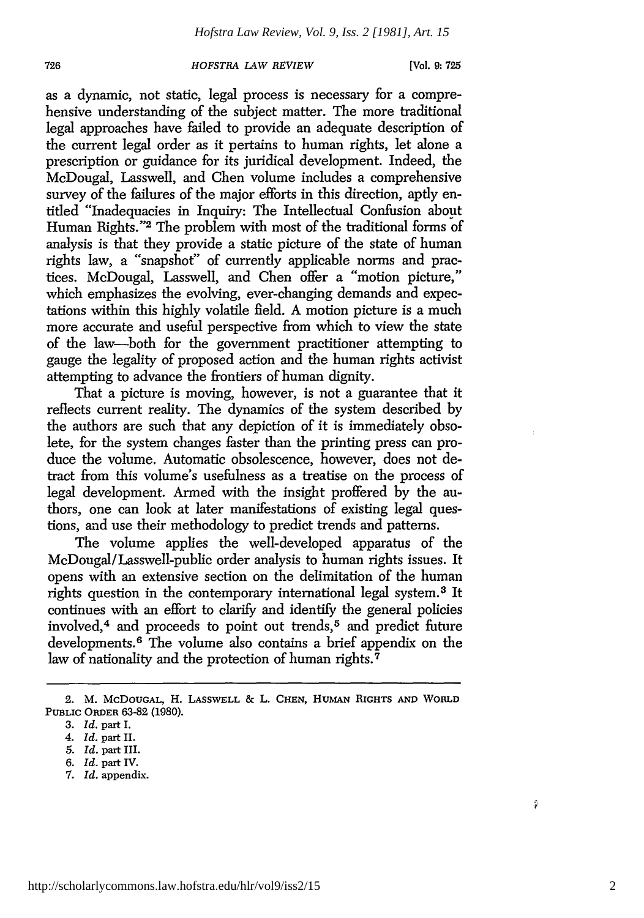#### *HOFSTRA LAW REVIEW*

as a dynamic, not static, legal process is necessary for a comprehensive understanding of the subject matter. The more traditional legal approaches have failed to provide an adequate description of the current legal order as it pertains to human rights, let alone a prescription or guidance for its juridical development. Indeed, the McDougal, Lasswell, and Chen volume includes a comprehensive survey of the failures of the major efforts in this direction, aptly entitled "Inadequacies in Inquiry: The Intellectual Confusion about Human Rights."<sup>2</sup> The problem with most of the traditional forms of analysis is that they provide a static picture of the state of human rights law, a "snapshot" of currently applicable norms and practices. McDougal, Lasswell, and Chen offer a "motion picture," which emphasizes the evolving, ever-changing demands and expectations within this highly volatile field. A motion picture is a much more accurate and useful perspective from which to view the state of the law-both for the government practitioner attempting to gauge the legality of proposed action and the human rights activist attempting to advance the frontiers of human dignity.

That a picture is moving, however, is not a guarantee that it reflects current reality. The dynamics of the system described by the authors are such that any depiction of it is immediately obsolete, for the system changes faster than the printing press can produce the volume. Automatic obsolescence, however, does not detract from this volume's usefulness as a treatise on the process of legal development. Armed with the insight proffered by the authors, one can look at later manifestations of existing legal questions, and use their methodology to predict trends and patterns.

The volume applies the well-developed apparatus of the McDougal/Lasswell-public order analysis to human rights issues. It opens with an extensive section on the delimitation of the human rights question in the contemporary international legal system. 3 It continues with an effort to clarify and identify the general policies involved,<sup>4</sup> and proceeds to point out trends,<sup>5</sup> and predict future developments.<sup>6</sup> The volume also contains a brief appendix on the law of nationality and the protection of human rights.<sup>7</sup>

726

- *6. Id.* part IV.
- *7. Id.* appendix.

<sup>2.</sup> M. McDOUGAL, H. LASSWELL & L. **CHEN, HUMAN** RIGHTS **AND WORLD PUBLIC ORDER** 63-82 (1980).

**<sup>3.</sup>** *Id.* part I.

*<sup>4.</sup> Id.* part II.

*<sup>5.</sup> Id.* part III.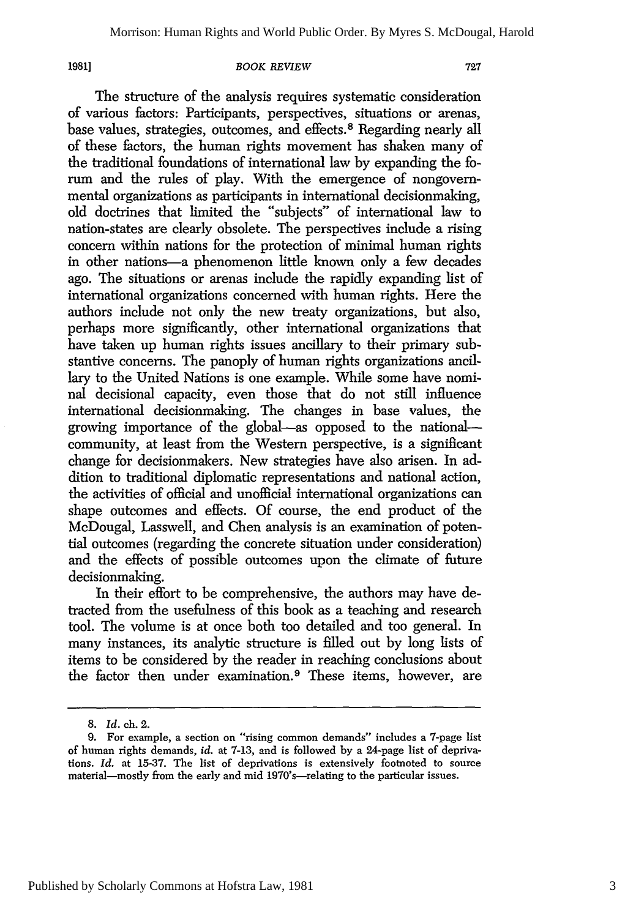*1981]*

#### *BOOK REVIEW*

The structure of the analysis requires systematic consideration of various factors: Participants, perspectives, situations or arenas, base values, strategies, outcomes, and effects.8 Regarding nearly all of these factors, the human rights movement has shaken many of the traditional foundations of international law by expanding the forum and the rules of play. With the emergence of nongovernmental organizations as participants in international decisionmaking, old doctrines that limited the "subjects" of international law to nation-states are clearly obsolete. The perspectives include a rising concern within nations for the protection of minimal human rights in other nations-a phenomenon little known only a few decades ago. The situations or arenas include the rapidly expanding list of international organizations concerned with human rights. Here the authors include not only the new treaty organizations, but also, perhaps more significantly, other international organizations that have taken up human rights issues ancillary to their primary substantive concerns. The panoply of human rights organizations ancillary to the United Nations is one example. While some have nominal decisional capacity, even those that do not still influence international decisionmaking. The changes in base values, the growing importance of the global-as opposed to the nationalcommunity, at least from the Western perspective, is a significant change for decisionmakers. New strategies have also arisen. In addition to traditional diplomatic representations and national action, the activities of official and unofficial international organizations can shape outcomes and effects. Of course, the end product of the McDougal, Lasswell, and Chen analysis is an examination of potential outcomes (regarding the concrete situation under consideration) and the effects of possible outcomes upon the climate of future decisionmaking.

In their effort to be comprehensive, the authors may have detracted from the usefulness of this book as a teaching and research tool. The volume is at once both too detailed and too general. In many instances, its analytic structure is filled out by long lists of items to be considered by the reader in reaching conclusions about the factor then under examination.9 These items, however, are

<sup>8.</sup> *Id.* ch. 2.

<sup>9.</sup> For example, a section on "rising common demands" includes a 7-page list of human rights demands, *id.* at 7-13, and is followed by a 24-page list of deprivations. *Id.* at 15-37. The list of deprivations is extensively footnoted to source material-mostly from the early and mid 1970's-relating to the particular issues.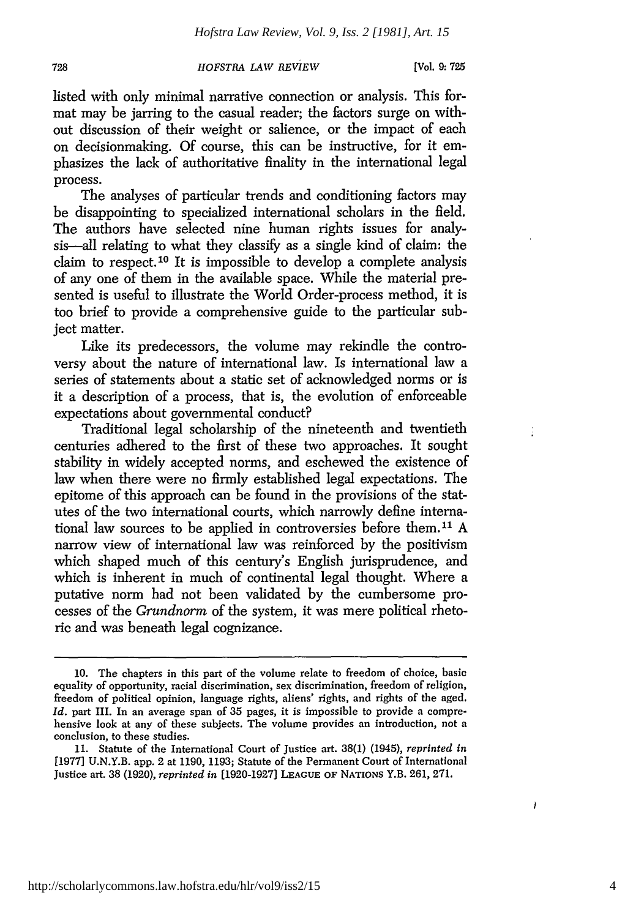### *HOFSTRA LAW REVIEW*

listed with only minimal narrative connection or analysis. This format may be jarring to the casual reader; the factors surge on without discussion of their weight or salience, or the impact of each on decisionmaking. Of course, this can be instructive, for it emphasizes the lack of authoritative finality in the international legal process.

The analyses of particular trends and conditioning factors may be disappointing to specialized international scholars in the field. The authors have selected nine human rights issues for analysis-all relating to what they classify as a single kind of claim: the claim to respect. 10 It is impossible to develop a complete analysis of any one of them in the available space. While the material presented is useful to illustrate the World Order-process method, it is too brief to provide a comprehensive guide to the particular subject matter.

Like its predecessors, the volume may rekindle the controversy about the nature of international law. Is international law a series of statements about a static set of acknowledged norms or is it a description of a process, that is, the evolution of enforceable expectations about governmental conduct?

Traditional legal scholarship of the nineteenth and twentieth centuries adhered to the first of these two approaches. It sought stability in widely accepted norms, and eschewed the existence of law when there were no firmly established legal expectations. The epitome of this approach can be found in the provisions of the statutes of the two international courts, which narrowly define international law sources to be applied in controversies before them.'1 A narrow view of international law was reinforced by the positivism which shaped much of this century's English jurisprudence, and which is inherent in much of continental legal thought. Where a putative norm had not been validated by the cumbersome processes of the *Grundnorm* of the system, it was mere political rhetoric and was beneath legal cognizance.

 $\mathcal{I}$ 

<sup>10.</sup> The chapters in this part of the volume relate to freedom of choice, basic equality of opportunity, racial discrimination, sex discrimination, freedom of religion, freedom of political opinion, language rights, aliens' rights, and rights of the aged. *Id.* part III. In an average span of 35 pages, it is impossible to provide a comprehensive look at any of these subjects. The volume provides an introduction, not a conclusion, to these studies.

<sup>11.</sup> Statute of the International Court of Justice art. 38(1) (1945), *reprinted in* [1977] U.N.Y.B. app. 2 at 1190, 1193; Statute of the Permanent Court of International Justice art. 38 (1920), *reprinted in* [1920-1927] **LEAGUE** OF **NATIONS** Y.B. 261, 271.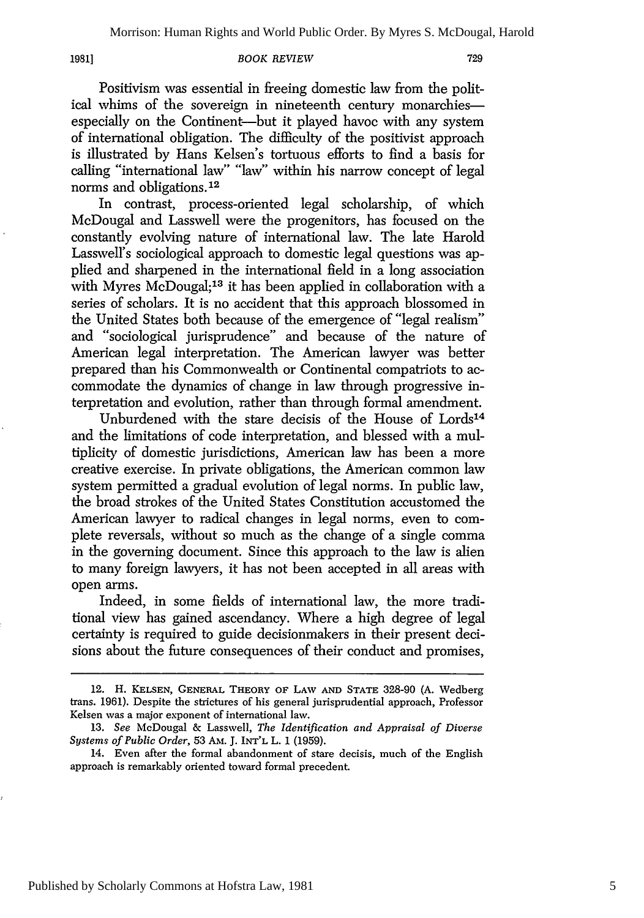**1981]**

#### *BOOK REVIEW*

Positivism was essential in freeing domestic law from the political whims of the sovereign in nineteenth century monarchiesespecially on the Continent-but it played havoc with any system of international obligation. The difficulty of the positivist approach is illustrated by Hans Kelsen's tortuous efforts to find a basis for calling "international law". "law" within his narrow concept of legal norms and obligations. <sup>12</sup>

In contrast, process-oriented legal scholarship, of which McDougal and Lasswell were the progenitors, has focused on the constantly evolving nature of international law. The late Harold Lasswell's sociological approach to domestic legal questions was applied and sharpened in the international field in a long association with Myres McDougal;<sup>13</sup> it has been applied in collaboration with a series of scholars. It is no accident that this approach blossomed in the United States both because of the emergence of "legal realism" and "sociological jurisprudence" and because of the nature of American legal interpretation. The American lawyer was better prepared than his Commonwealth or Continental compatriots to accommodate the dynamics of change in law through progressive interpretation and evolution, rather than through formal amendment.

Unburdened with the stare decisis of the House of Lords<sup>14</sup> and the limitations of code interpretation, and blessed with a multiplicity of domestic jurisdictions, American law has been a more creative exercise. In private obligations, the American common law system permitted a gradual evolution of legal norms. In public law, the broad strokes of the United States Constitution accustomed the American lawyer to radical changes in legal norms, even to complete reversals, without so much as the change of a single comma in the governing document. Since this approach to the law is alien to many foreign lawyers, it has not been accepted in all areas with open arms.

Indeed, in some fields of international law, the more traditional view has gained ascendancy. Where a high degree of legal certainty is required to guide decisionmakers in their present decisions about the future consequences of their conduct and promises,

<sup>12.</sup> H. KELSEN, GENERAL THEORY OF **LAW AND STATE** 328-90 (A. Wedberg trans. 1961). Despite the strictures of his general jurisprudential approach, Professor Kelsen was a major exponent of international law.

<sup>13.</sup> *See* McDougal & Lasswell, *The Identification and Appraisal of Diverse Systems of Public Order,* 53 AM. J. INT'L L. 1 (1959).

<sup>14.</sup> Even after the formal abandonment of stare decisis, much of the English approach is remarkably oriented toward formal precedent.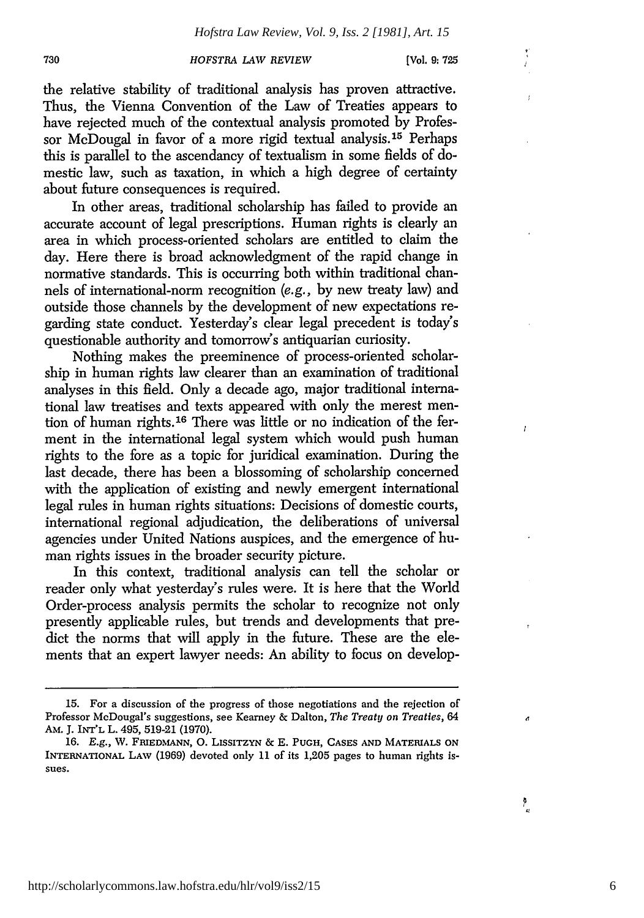#### 730 *HOFSTRA LAW REVIEW* [Vol. **9: 725**

 $\frac{\mathbf{v}}{\epsilon}$  $\mathbf{I}$ 

 $\mathbf{r}$ 

Ï

đ

 $\sum_{i=1}^{n}$ 

the relative stability of traditional analysis has proven attractive. Thus, the Vienna Convention of the Law of Treaties appears to have rejected much of the contextual analysis promoted by Professor McDougal in favor of a more rigid textual analysis 15 Perhaps this is parallel to the ascendancy of textualism in some fields of domestic law, such as taxation, in which a high degree of certainty about future consequences is required.

In other areas, traditional scholarship has failed to provide an accurate account of legal prescriptions. Human rights is clearly an area in which process-oriented scholars are entitled to claim the day. Here there is broad acknowledgment of the rapid change in normative standards. This is occurring both within traditional channels of international-norm recognition (e.g., by new treaty law) and outside those channels by the development of new expectations regarding state conduct. Yesterday's clear legal precedent is today's questionable authority and tomorrow's antiquarian curiosity.

Nothing makes the preeminence of process-oriented scholarship in human rights law clearer than an examination of traditional analyses in this field. Only a decade ago, major traditional international law treatises and texts appeared with only the merest mention of human rights.<sup>16</sup> There was little or no indication of the ferment in the international legal system which would push human rights to the fore as a topic for juridical examination. During the last decade, there has been a blossoming of scholarship concerned with the application of existing and newly emergent international legal rules in human rights situations: Decisions of domestic courts, international regional adjudication, the deliberations of universal agencies under United Nations auspices, and the emergence of human rights issues in the broader security picture.

In this context, traditional analysis can tell the scholar or reader only what yesterday's rules were. It is here that the World Order-process analysis permits the scholar to recognize not only presently applicable rules, but trends and developments that predict the norms that will apply in the future. These are the elements that an expert lawyer needs: An ability to focus on develop-

<sup>15.</sup> For a discussion of the progress of those negotiations and the rejection of Professor McDougal's suggestions, see Kearney & Dalton, *The Treaty on Treaties, 64* AM. J. INT'L L. 495, 519-21 (1970).

**<sup>16.</sup> E.g.,** W. **FRIEDMANN, 0.** LISSITZYN *&* **E. PUGH, CASES AND MATERIALS ON** INTERNATIONAL LAv **(1969)** devoted only **11** of its 1,205 pages to human rights is**sues.**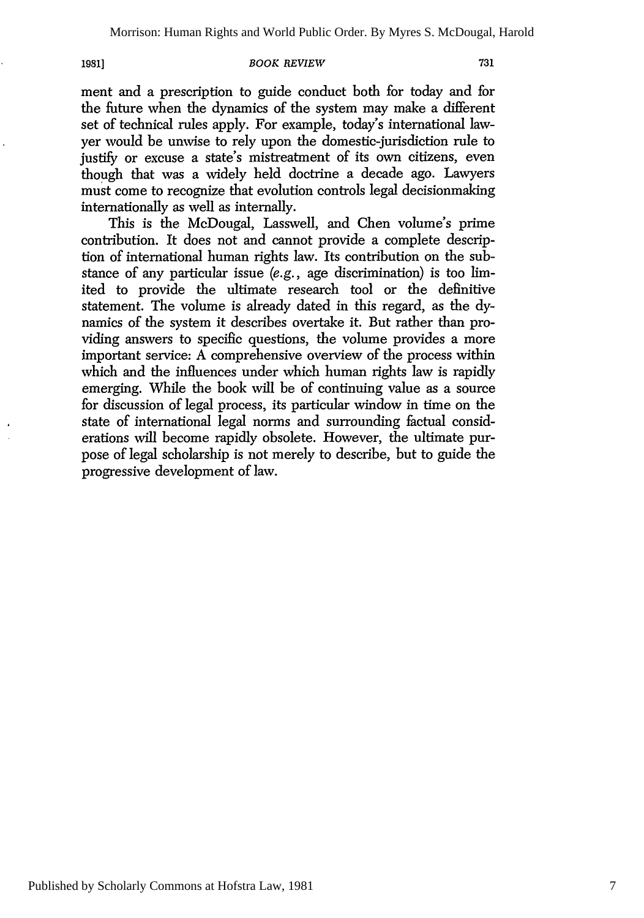**1981]**

#### *BOOK REVIEW*

ment and a prescription to guide conduct both for today and for the future when the dynamics of the system may make a different set of technical rules apply. For example, today's international lawyer would be unwise to rely upon the domestic-jurisdiction rule to justify or excuse a state's mistreatment of its own citizens, even though that was a widely held doctrine a decade ago. Lawyers must come to recognize that evolution controls legal decisionmaking internationally as well as internally.

This is the McDougal, Lasswell, and Chen volume's prime contribution. It does not and cannot provide a complete description of international human rights law. Its contribution on the substance of any particular issue (e.g., age discrimination) is too limited to provide the ultimate research tool or the definitive statement. The volume is already dated in this regard, as the dynamics of the system it describes overtake it. But rather than providing answers to specific questions, the volume provides a more important service: A comprehensive overview of the process within which and the influences under which human rights law is rapidly emerging. While the book will be of continuing value as a source for discussion of legal process, its particular window in time on the state of international legal norms and surrounding factual considerations will become rapidly obsolete. However, the ultimate purpose of legal scholarship is not merely to describe, but to guide the progressive development of law.